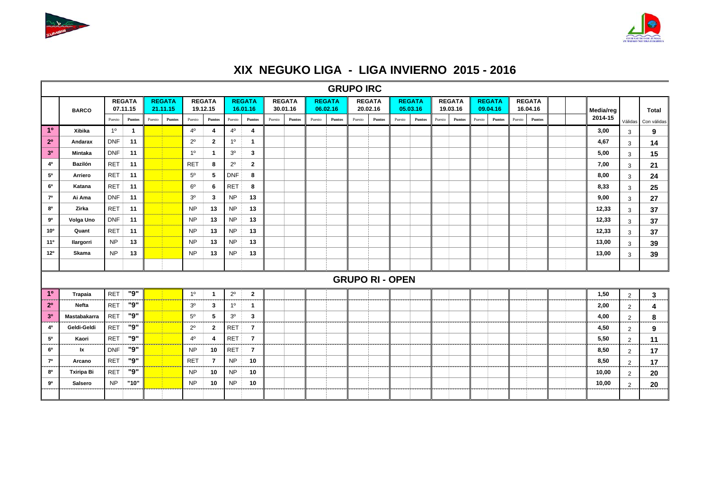



## **XIX NEGUKO LIGA - LIGA INVIERNO 2015 - 2016**

|                 |                     |            |                           |        |                           |                |                           |                |                           |        |                           |        |                           | <b>GRUPO IRC</b> |                           |                           |        |        |                           |        |                           |        |                           |           |                |             |
|-----------------|---------------------|------------|---------------------------|--------|---------------------------|----------------|---------------------------|----------------|---------------------------|--------|---------------------------|--------|---------------------------|------------------|---------------------------|---------------------------|--------|--------|---------------------------|--------|---------------------------|--------|---------------------------|-----------|----------------|-------------|
|                 | <b>BARCO</b>        |            | <b>REGATA</b><br>07.11.15 |        | <b>REGATA</b><br>21.11.15 |                | <b>REGATA</b><br>19.12.15 |                | <b>REGATA</b><br>16.01.16 |        | <b>REGATA</b><br>30.01.16 |        | <b>REGATA</b><br>06.02.16 |                  | <b>REGATA</b><br>20.02.16 | <b>REGATA</b><br>05.03.16 |        |        | <b>REGATA</b><br>19.03.16 |        | <b>REGATA</b><br>09.04.16 |        | <b>REGATA</b><br>16.04.16 | Media/reg |                | Total       |
|                 |                     | Puesto     | Puntos                    | Puesto | <b>Puntos</b>             | Puesto         | <b>Puntos</b>             | Puesto         | Puntos                    | Puesto | Puntos                    | Puesto | Puntos                    | Puesto           | <b>Puntos</b>             | Puesto                    | Puntos | Puesto | Puntos                    | Puesto | Puntos                    | Puesto | <b>Puntos</b>             | 2014-15   | Válidas        | Con válidas |
| 10 <sup>°</sup> | Xibika              | 10         | $\mathbf{1}$              |        |                           | $4^{\circ}$    | -4                        | $4^{\circ}$    | 4                         |        |                           |        |                           |                  |                           |                           |        |        |                           |        |                           |        |                           | 3,00      | 3              | 9           |
| 2 <sup>0</sup>  | Andarax             | <b>DNF</b> | 11                        |        |                           | $2^{\circ}$    | 2                         | 1 <sup>0</sup> | $\mathbf{1}$              |        |                           |        |                           |                  |                           |                           |        |        |                           |        |                           |        |                           | 4,67      | 3              | 14          |
| 3 <sup>0</sup>  | Mintaka             | <b>DNF</b> | 11                        |        |                           | 1 <sup>0</sup> | $\mathbf 1$               | 3 <sup>o</sup> | 3                         |        |                           |        |                           |                  |                           |                           |        |        |                           |        |                           |        |                           | 5,00      | 3              | 15          |
| 40              | <b>Bazilón</b>      | <b>RET</b> | 11                        |        |                           | <b>RET</b>     | 8                         | $2^{\circ}$    | $\mathbf{2}$              |        |                           |        |                           |                  |                           |                           |        |        |                           |        |                           |        |                           | 7,00      | 3              | 21          |
| 50              | Arriero             | <b>RET</b> | 11                        |        |                           | $5^{\circ}$    | 5                         | <b>DNF</b>     | 8                         |        |                           |        |                           |                  |                           |                           |        |        |                           |        |                           |        |                           | 8,00      | 3              | 24          |
| 6 <sup>o</sup>  | Katana              | <b>RET</b> | 11                        |        |                           | $6^{\circ}$    | 6                         | <b>RET</b>     | 8                         |        |                           |        |                           |                  |                           |                           |        |        |                           |        |                           |        |                           | 8,33      | 3              | 25          |
| 70              | Ai Ama              | <b>DNF</b> | 11                        |        |                           | 3 <sup>o</sup> | 3                         | <b>NP</b>      | 13                        |        |                           |        |                           |                  |                           |                           |        |        |                           |        |                           |        |                           | 9,00      | $\mathbf{3}$   | 27          |
| 80              | Zirka               | <b>RET</b> | 11                        |        |                           | <b>NP</b>      | 13                        | <b>NP</b>      | 13                        |        |                           |        |                           |                  |                           |                           |        |        |                           |        |                           |        |                           | 12,33     | 3              | 37          |
| 90              | Volga Uno           | <b>DNF</b> | 11                        |        |                           | <b>NP</b>      | 13                        | <b>NP</b>      | 13                        |        |                           |        |                           |                  |                           |                           |        |        |                           |        |                           |        |                           | 12,33     | 3              | 37          |
| 10 <sup>o</sup> | Quant               | <b>RET</b> | 11                        |        |                           | <b>NP</b>      | 13                        | <b>NP</b>      | 13                        |        |                           |        |                           |                  |                           |                           |        |        |                           |        |                           |        |                           | 12,33     | $\mathbf{3}$   | 37          |
| 11°             | Ilargorri           | <b>NP</b>  | 13                        |        |                           | <b>NP</b>      | 13                        | <b>NP</b>      | 13                        |        |                           |        |                           |                  |                           |                           |        |        |                           |        |                           |        |                           | 13,00     | 3              | 39          |
| 12°             | Skama               | <b>NP</b>  | 13                        |        |                           | <b>NP</b>      | 13                        | <b>NP</b>      | 13                        |        |                           |        |                           |                  |                           |                           |        |        |                           |        |                           |        |                           | 13,00     | 3              | 39          |
|                 |                     |            |                           |        |                           |                |                           |                |                           |        |                           |        |                           |                  |                           |                           |        |        |                           |        |                           |        |                           |           |                |             |
|                 |                     |            |                           |        |                           |                |                           |                |                           |        |                           |        |                           |                  |                           | <b>GRUPO RI - OPEN</b>    |        |        |                           |        |                           |        |                           |           |                |             |
| 1 <sup>0</sup>  | <b>Trapaia</b>      | <b>RET</b> | "9"                       |        |                           | 1 <sup>0</sup> | -1                        | $2^{\circ}$    | $\mathbf{2}$              |        |                           |        |                           |                  |                           |                           |        |        |                           |        |                           |        |                           | 1,50      | $\overline{2}$ | 3           |
| 2 <sup>0</sup>  | Nefta               | <b>RET</b> | "9"                       |        |                           | 3 <sup>o</sup> | 3                         | 1 <sup>0</sup> | $\mathbf{1}$              |        |                           |        |                           |                  |                           |                           |        |        |                           |        |                           |        |                           | 2,00      | $\overline{2}$ | 4           |
| 3 <sup>0</sup>  | <b>Mastabakarra</b> | <b>RET</b> | "9"                       |        |                           | $5^{\circ}$    | 5                         | 3 <sup>o</sup> | 3                         |        |                           |        |                           |                  |                           |                           |        |        |                           |        |                           |        |                           | 4,00      | $\overline{2}$ | 8           |
| 40              | Geldi-Geldi         | <b>RET</b> | "9"                       |        |                           | $2^{\circ}$    | $\mathbf{2}$              | <b>RET</b>     | $\overline{7}$            |        |                           |        |                           |                  |                           |                           |        |        |                           |        |                           |        |                           | 4,50      | $\overline{2}$ | 9           |
| 50              | Kaori               | <b>RET</b> | "9"                       |        |                           | $4^{\circ}$    | 4                         | <b>RET</b>     | $\overline{7}$            |        |                           |        |                           |                  |                           |                           |        |        |                           |        |                           |        |                           | 5,50      | $\overline{2}$ | 11          |
| 6 <sup>o</sup>  | lχ                  | <b>DNF</b> | "9"                       |        |                           | <b>NP</b>      | 10                        | <b>RET</b>     | $\overline{7}$            |        |                           |        |                           |                  |                           |                           |        |        |                           |        |                           |        |                           | 8,50      | $\overline{2}$ | 17          |
| 70              | Arcano              | <b>RET</b> | "9"                       |        |                           | <b>RET</b>     | $\overline{7}$            | <b>NP</b>      | 10                        |        |                           |        |                           |                  |                           |                           |        |        |                           |        |                           |        |                           | 8,50      | $\overline{2}$ | 17          |
| 80              | <b>Txiripa Bi</b>   | <b>RET</b> | "9"                       |        |                           | <b>NP</b>      | 10                        | <b>NP</b>      | 10                        |        |                           |        |                           |                  |                           |                           |        |        |                           |        |                           |        |                           | 10,00     | $\overline{2}$ | 20          |
| 90              | Salsero             | <b>NP</b>  | "10"                      |        |                           | <b>NP</b>      | 10                        | <b>NP</b>      | 10                        |        |                           |        |                           |                  |                           |                           |        |        |                           |        |                           |        |                           | 10,00     | $\overline{2}$ | 20          |
|                 |                     |            |                           |        |                           |                |                           |                |                           |        |                           |        |                           |                  |                           |                           |        |        |                           |        |                           |        |                           |           |                |             |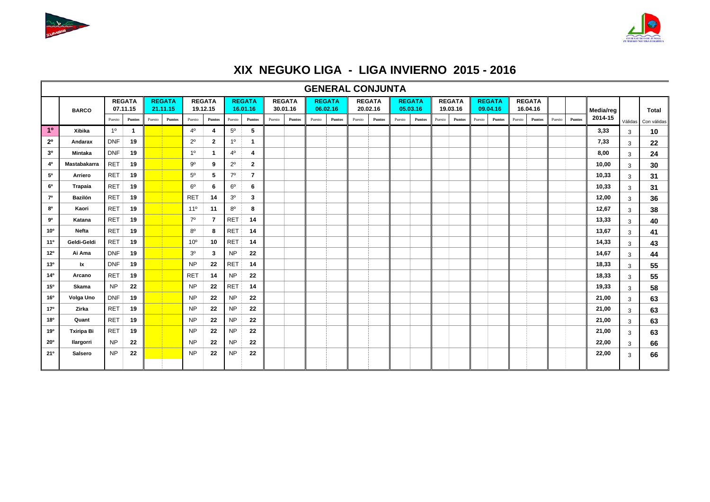



## **XIX NEGUKO LIGA - LIGA INVIERNO 2015 - 2016**

|                 |                   |                |                           |        |                           |                 |                           |                |                           |        |                           |        | <b>GENERAL CONJUNTA</b>   |        |                           |                           |        |                           |        |                           |        |                           |        |        |           |         |             |
|-----------------|-------------------|----------------|---------------------------|--------|---------------------------|-----------------|---------------------------|----------------|---------------------------|--------|---------------------------|--------|---------------------------|--------|---------------------------|---------------------------|--------|---------------------------|--------|---------------------------|--------|---------------------------|--------|--------|-----------|---------|-------------|
|                 | <b>BARCO</b>      |                | <b>REGATA</b><br>07.11.15 |        | <b>REGATA</b><br>21.11.15 |                 | <b>REGATA</b><br>19.12.15 |                | <b>REGATA</b><br>16.01.16 |        | <b>REGATA</b><br>30.01.16 |        | <b>REGATA</b><br>06.02.16 |        | <b>REGATA</b><br>20.02.16 | <b>REGATA</b><br>05.03.16 |        | <b>REGATA</b><br>19.03.16 |        | <b>REGATA</b><br>09.04.16 |        | <b>REGATA</b><br>16.04.16 |        |        | Media/reg |         | Total       |
|                 |                   | Puesto         | <b>Puntos</b>             | Puesto | Puntos                    | Puesto          | Puntos                    | Puesto         | <b>Puntos</b>             | Puesto | Puntos                    | Puesto | <b>Puntos</b>             | Puesto | <b>Puntos</b>             | <b>Puntos</b><br>Puesto   | Puesto | Puntos                    | Puesto | Puntos                    | Puesto | <b>Puntos</b>             | Puesto | Puntos | 2014-15   | Válidas | Con válidas |
| 10              | Xibika            | 10             | $\mathbf{1}$              |        |                           | $4^{\circ}$     | 4                         | $5^{\circ}$    | 5                         |        |                           |        |                           |        |                           |                           |        |                           |        |                           |        |                           |        |        | 3,33      | 3       | 10          |
| $2^{\circ}$     | Andarax           | <b>DNF</b>     | 19                        |        |                           | $2^{\circ}$     | $\mathbf{2}$              | 1 <sup>0</sup> | -1                        |        |                           |        |                           |        |                           |                           |        |                           |        |                           |        |                           |        |        | 7,33      | 3       | 22          |
| 3 <sup>0</sup>  | Mintaka           | <b>DNF</b>     | 19                        |        |                           | 1 <sup>0</sup>  | -1                        | $4^{\circ}$    | 4                         |        |                           |        |                           |        |                           |                           |        |                           |        |                           |        |                           |        |        | 8,00      | 3       | 24          |
| 40              | Mastabakarra      | <b>RET</b>     | 19                        |        |                           | 90              | 9                         | $2^{\circ}$    | $\mathbf{2}$              |        |                           |        |                           |        |                           |                           |        |                           |        |                           |        |                           |        |        | 10,00     | 3       | 30          |
| $5^{\circ}$     | Arriero           | <b>RET</b>     | 19                        |        |                           | $5^{\circ}$     | -5                        | 7 <sup>0</sup> | 7                         |        |                           |        |                           |        |                           |                           |        |                           |        |                           |        |                           |        |        | 10,33     | 3       | 31          |
| 60              | <b>Trapaia</b>    | <b>RET</b>     | 19                        |        |                           | $6^{\circ}$     | 6                         | $6^{\circ}$    | 6                         |        |                           |        |                           |        |                           |                           |        |                           |        |                           |        |                           |        |        | 10,33     | 3       | 31          |
| 70              | Bazilón           | <b>RET</b>     | 19                        |        |                           | <b>RET</b>      | 14                        | 3 <sup>o</sup> | 3                         |        |                           |        |                           |        |                           |                           |        |                           |        |                           |        |                           |        |        | 12,00     | 3       | 36          |
| 80              | Kaori             | <b>RET</b>     | 19                        |        |                           | $11^{\circ}$    | 11                        | $8^{\circ}$    | 8                         |        |                           |        |                           |        |                           |                           |        |                           |        |                           |        |                           |        |        | 12,67     | 3       | 38          |
| 90              | Katana            | <b>RET</b>     | 19                        |        |                           | $7^\circ$       | 7                         | <b>RET</b>     | 14                        |        |                           |        |                           |        |                           |                           |        |                           |        |                           |        |                           |        |        | 13,33     | 3       | 40          |
| $10^{\circ}$    | Nefta             | <b>RET</b>     | 19                        |        |                           | $8^{\circ}$     | 8                         | <b>RET</b>     | 14                        |        |                           |        |                           |        |                           |                           |        |                           |        |                           |        |                           |        |        | 13,67     | 3       | 41          |
| 11 <sup>0</sup> | Geldi-Geldi       | <b>RET</b>     | 19                        |        |                           | 10 <sup>o</sup> | 10                        | <b>RET</b>     | 14                        |        |                           |        |                           |        |                           |                           |        |                           |        |                           |        |                           |        |        | 14,33     | 3       | 43          |
| 12°             | Ai Ama            | <b>DNF</b>     | 19                        |        |                           | 3 <sup>o</sup>  | 3                         | <b>NP</b>      | 22                        |        |                           |        |                           |        |                           |                           |        |                           |        |                           |        |                           |        |        | 14,67     | 3       | 44          |
| 13 <sup>o</sup> | lx.               | <b>DNF</b>     | 19                        |        |                           | <b>NP</b>       | 22                        | <b>RET</b>     | 14                        |        |                           |        |                           |        |                           |                           |        |                           |        |                           |        |                           |        |        | 18,33     | 3       | 55          |
| $14^{\circ}$    | Arcano            | <b>RET</b>     | 19                        |        |                           | <b>RET</b>      | 14                        | <b>NP</b>      | 22                        |        |                           |        |                           |        |                           |                           |        |                           |        |                           |        |                           |        |        | 18,33     | 3       | 55          |
| 15°             | Skama             | N <sub>P</sub> | 22                        |        |                           | <b>NP</b>       | 22                        | <b>RET</b>     | 14                        |        |                           |        |                           |        |                           |                           |        |                           |        |                           |        |                           |        |        | 19,33     | 3       | 58          |
| 16°             | Volga Uno         | <b>DNF</b>     | 19                        |        |                           | <b>NP</b>       | 22                        | <b>NP</b>      | 22                        |        |                           |        |                           |        |                           |                           |        |                           |        |                           |        |                           |        |        | 21,00     | 3       | 63          |
| 17°             | Zirka             | RET            | 19                        |        |                           | <b>NP</b>       | 22                        | <b>NP</b>      | 22                        |        |                           |        |                           |        |                           |                           |        |                           |        |                           |        |                           |        |        | 21,00     | 3       | 63          |
| 18°             | Quant             | <b>RET</b>     | 19                        |        |                           | <b>NP</b>       | 22                        | <b>NP</b>      | 22                        |        |                           |        |                           |        |                           |                           |        |                           |        |                           |        |                           |        |        | 21,00     | 3       | 63          |
| 19 <sup>o</sup> | <b>Txiripa Bi</b> | RET            | 19                        |        |                           | <b>NP</b>       | 22                        | <b>NP</b>      | 22                        |        |                           |        |                           |        |                           |                           |        |                           |        |                           |        |                           |        |        | 21,00     | 3       | 63          |
| $20^{\circ}$    | <b>Ilargorri</b>  | <b>NP</b>      | 22                        |        |                           | <b>NP</b>       | 22                        | <b>NP</b>      | 22                        |        |                           |        |                           |        |                           |                           |        |                           |        |                           |        |                           |        |        | 22,00     | 3       | 66          |
| 21°             | Salsero           | <b>NP</b>      | 22                        |        |                           | <b>NP</b>       | 22                        | <b>NP</b>      | 22                        |        |                           |        |                           |        |                           |                           |        |                           |        |                           |        |                           |        |        | 22,00     | 3       | 66          |
|                 |                   |                |                           |        |                           |                 |                           |                |                           |        |                           |        |                           |        |                           |                           |        |                           |        |                           |        |                           |        |        |           |         |             |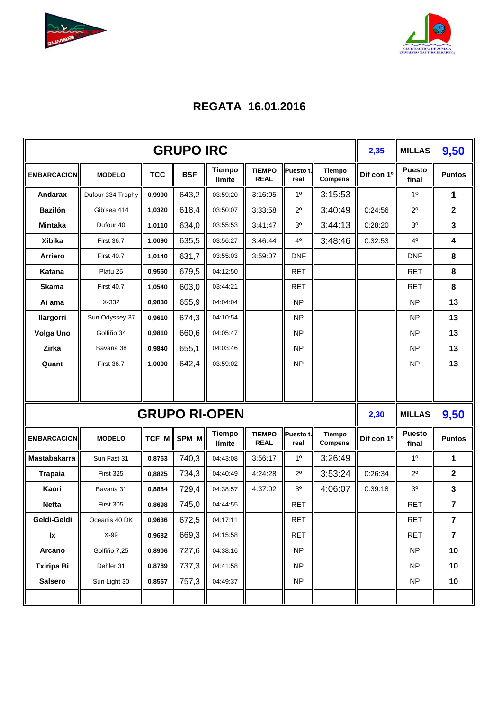



## **REGATA 16.01.2016**

|                    |                   |            | <b>GRUPO IRC</b> |                         |                              |                   |                           | 2,35       | <b>MILLAS</b>          | 9,50           |
|--------------------|-------------------|------------|------------------|-------------------------|------------------------------|-------------------|---------------------------|------------|------------------------|----------------|
| <b>EMBARCACION</b> | <b>MODELO</b>     | <b>TCC</b> | <b>BSF</b>       | <b>Tiempo</b><br>límite | <b>TIEMPO</b><br><b>REAL</b> | Puesto t.<br>real | <b>Tiempo</b><br>Compens. | Dif con 1º | <b>Puesto</b><br>final | <b>Puntos</b>  |
| <b>Andarax</b>     | Dufour 334 Trophy | 0,9990     | 643,2            | 03:59:20                | 3:16:05                      | 1 <sup>0</sup>    | 3:15:53                   |            | 1 <sup>0</sup>         | 1              |
| <b>Bazilón</b>     | Gib'sea 414       | 1,0320     | 618,4            | 03:50:07                | 3:33:58                      | $2^{\circ}$       | 3:40:49                   | 0:24:56    | $2^{\circ}$            | $\mathbf 2$    |
| Mintaka            | Dufour 40         | 1,0110     | 634,0            | 03:55:53                | 3:41:47                      | 3 <sup>0</sup>    | 3:44:13                   | 0:28:20    | 3 <sup>0</sup>         | 3              |
| <b>Xibika</b>      | <b>First 36.7</b> | 1,0090     | 635,5            | 03:56:27                | 3:46:44                      | 4°                | 3:48:46                   | 0:32:53    | 4 <sup>0</sup>         | 4              |
| <b>Arriero</b>     | <b>First 40.7</b> | 1,0140     | 631,7            | 03:55:03                | 3:59:07                      | <b>DNF</b>        |                           |            | <b>DNF</b>             | 8              |
| Katana             | Platu 25          | 0,9550     | 679,5            | 04:12:50                |                              | <b>RET</b>        |                           |            | <b>RET</b>             | 8              |
| <b>Skama</b>       | <b>First 40.7</b> | 1,0540     | 603,0            | 03:44:21                |                              | <b>RET</b>        |                           |            | <b>RET</b>             | 8              |
| Ai ama             | $X-332$           | 0,9830     | 655,9            | 04:04:04                |                              | <b>NP</b>         |                           |            | <b>NP</b>              | 13             |
| llargorri          | Sun Odyssey 37    | 0,9610     | 674,3            | 04:10:54                |                              | <b>NP</b>         |                           |            | <b>NP</b>              | 13             |
| <b>Volga Uno</b>   | Golfiño 34        | 0,9810     | 660,6            | 04:05:47                |                              | <b>NP</b>         |                           |            | <b>NP</b>              | 13             |
| Zirka              | Bavaria 38        | 0,9840     | 655,1            | 04:03:46                |                              | <b>NP</b>         |                           |            | <b>NP</b>              | 13             |
| Quant              | <b>First 36.7</b> | 1,0000     | 642,4            | 03:59:02                |                              | <b>NP</b>         |                           |            | <b>NP</b>              | 13             |
|                    |                   |            |                  |                         |                              |                   |                           |            |                        |                |
|                    |                   |            |                  |                         |                              |                   |                           |            |                        |                |
|                    |                   |            |                  | <b>GRUPO RI-OPEN</b>    |                              |                   |                           | 2,30       | <b>MILLAS</b>          | 9,50           |
| <b>EMBARCACION</b> | <b>MODELO</b>     |            | TCF_M SPM_M      | <b>Tiempo</b><br>límite | <b>TIEMPO</b><br><b>REAL</b> | Puesto t.<br>real | <b>Tiempo</b><br>Compens. | Dif con 1º | <b>Puesto</b><br>final | <b>Puntos</b>  |
| Mastabakarra       | Sun Fast 31       | 0,8753     | 740,3            | 04:43:08                | 3:56:17                      | 1 <sup>0</sup>    | 3:26:49                   |            | $1^{\circ}$            | 1              |
| <b>Trapaia</b>     | First 325         | 0,8825     | 734,3            | 04:40:49                | 4:24:28                      | $2^{\circ}$       | 3:53:24                   | 0:26:34    | $2^{\circ}$            | $\mathbf{2}$   |
| Kaori              | Bavaria 31        | 0,8884     | 729,4            | 04:38:57                | 4:37:02                      | 3 <sup>0</sup>    | 4:06:07                   | 0:39:18    | 3 <sup>0</sup>         | 3              |
| <b>Nefta</b>       | First 305         | 0,8698     | 745,0            | 04:44:55                |                              | <b>RET</b>        |                           |            | <b>RET</b>             | 7              |
| Geldi-Geldi        | Oceanis 40 DK     | 0,9636     | 672,5            | 04:17:11                |                              | RET               |                           |            | <b>RET</b>             | 7              |
| lx                 | X-99              | 0,9682     | 669,3            | 04:15:58                |                              | <b>RET</b>        |                           |            | <b>RET</b>             | $\overline{7}$ |
| Arcano             | Golfiño 7,25      | 0,8906     | 727,6            | 04:38:16                |                              | N <sub>P</sub>    |                           |            | NP                     | 10             |
| <b>Txiripa Bi</b>  | Dehler 31         | 0,8789     | 737,3            | 04:41:58                |                              | <b>NP</b>         |                           |            | <b>NP</b>              | 10             |
| <b>Salsero</b>     | Sun Light 30      | 0,8557     | 757,3            | 04:49:37                |                              | <b>NP</b>         |                           |            | NP                     | 10             |
|                    |                   |            |                  |                         |                              |                   |                           |            |                        |                |